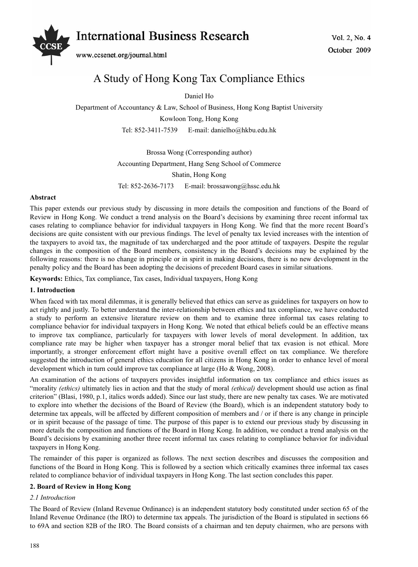# Vol. 2, No. 4 *International Business Research*



www.ccsenet.org/journal.html

# A Study of Hong Kong Tax Compliance Ethics

Daniel Ho

Department of Accountancy & Law, School of Business, Hong Kong Baptist University Kowloon Tong, Hong Kong

Tel: 852-3411-7539 E-mail: danielho@hkbu.edu.hk

Brossa Wong (Corresponding author)

Accounting Department, Hang Seng School of Commerce

Shatin, Hong Kong

Tel: 852-2636-7173 E-mail: brossawong@hssc.edu.hk

## **Abstract**

This paper extends our previous study by discussing in more details the composition and functions of the Board of Review in Hong Kong. We conduct a trend analysis on the Board's decisions by examining three recent informal tax cases relating to compliance behavior for individual taxpayers in Hong Kong. We find that the more recent Board's decisions are quite consistent with our previous findings. The level of penalty tax levied increases with the intention of the taxpayers to avoid tax, the magnitude of tax undercharged and the poor attitude of taxpayers. Despite the regular changes in the composition of the Board members, consistency in the Board's decisions may be explained by the following reasons: there is no change in principle or in spirit in making decisions, there is no new development in the penalty policy and the Board has been adopting the decisions of precedent Board cases in similar situations.

**Keywords:** Ethics, Tax compliance, Tax cases, Individual taxpayers, Hong Kong

# **1. Introduction**

When faced with tax moral dilemmas, it is generally believed that ethics can serve as guidelines for taxpayers on how to act rightly and justly. To better understand the inter-relationship between ethics and tax compliance, we have conducted a study to perform an extensive literature review on them and to examine three informal tax cases relating to compliance behavior for individual taxpayers in Hong Kong. We noted that ethical beliefs could be an effective means to improve tax compliance, particularly for taxpayers with lower levels of moral development. In addition, tax compliance rate may be higher when taxpayer has a stronger moral belief that tax evasion is not ethical. More importantly, a stronger enforcement effort might have a positive overall effect on tax compliance. We therefore suggested the introduction of general ethics education for all citizens in Hong Kong in order to enhance level of moral development which in turn could improve tax compliance at large (Ho & Wong, 2008).

An examination of the actions of taxpayers provides insightful information on tax compliance and ethics issues as "morality *(ethics)* ultimately lies in action and that the study of moral *(ethical)* development should use action as final criterion" (Blasi, 1980, p.1, italics words added). Since our last study, there are new penalty tax cases. We are motivated to explore into whether the decisions of the Board of Review (the Board), which is an independent statutory body to determine tax appeals, will be affected by different composition of members and / or if there is any change in principle or in spirit because of the passage of time. The purpose of this paper is to extend our previous study by discussing in more details the composition and functions of the Board in Hong Kong. In addition, we conduct a trend analysis on the Board's decisions by examining another three recent informal tax cases relating to compliance behavior for individual taxpayers in Hong Kong.

The remainder of this paper is organized as follows. The next section describes and discusses the composition and functions of the Board in Hong Kong. This is followed by a section which critically examines three informal tax cases related to compliance behavior of individual taxpayers in Hong Kong. The last section concludes this paper.

# **2. Board of Review in Hong Kong**

# *2.1 Introduction*

The Board of Review (Inland Revenue Ordinance) is an independent statutory body constituted under section 65 of the Inland Revenue Ordinance (the IRO) to determine tax appeals. The jurisdiction of the Board is stipulated in sections 66 to 69A and section 82B of the IRO. The Board consists of a chairman and ten deputy chairmen, who are persons with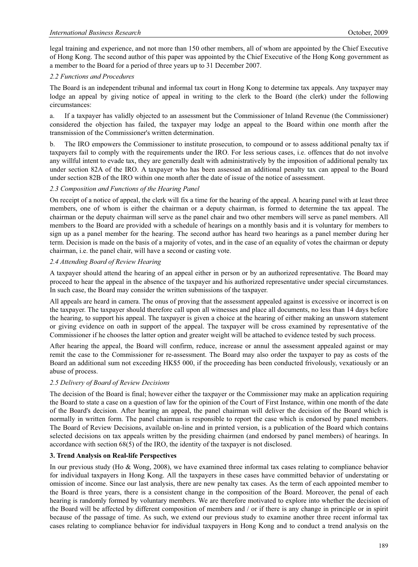legal training and experience, and not more than 150 other members, all of whom are appointed by the Chief Executive of Hong Kong. The second author of this paper was appointed by the Chief Executive of the Hong Kong government as a member to the Board for a period of three years up to 31 December 2007.

## *2.2 Functions and Procedures*

The Board is an independent tribunal and informal tax court in Hong Kong to determine tax appeals. Any taxpayer may lodge an appeal by giving notice of appeal in writing to the clerk to the Board (the clerk) under the following circumstances:

a. If a taxpayer has validly objected to an assessment but the Commissioner of Inland Revenue (the Commissioner) considered the objection has failed, the taxpayer may lodge an appeal to the Board within one month after the transmission of the Commissioner's written determination.

b. The IRO empowers the Commissioner to institute prosecution, to compound or to assess additional penalty tax if taxpayers fail to comply with the requirements under the IRO. For less serious cases, i.e. offences that do not involve any willful intent to evade tax, they are generally dealt with administratively by the imposition of additional penalty tax under section 82A of the IRO. A taxpayer who has been assessed an additional penalty tax can appeal to the Board under section 82B of the IRO within one month after the date of issue of the notice of assessment.

## *2.3 Composition and Functions of the Hearing Panel*

On receipt of a notice of appeal, the clerk will fix a time for the hearing of the appeal. A hearing panel with at least three members, one of whom is either the chairman or a deputy chairman, is formed to determine the tax appeal. The chairman or the deputy chairman will serve as the panel chair and two other members will serve as panel members. All members to the Board are provided with a schedule of hearings on a monthly basis and it is voluntary for members to sign up as a panel member for the hearing. The second author has heard two hearings as a panel member during her term. Decision is made on the basis of a majority of votes, and in the case of an equality of votes the chairman or deputy chairman, i.e. the panel chair, will have a second or casting vote.

## *2.4 Attending Board of Review Hearing*

A taxpayer should attend the hearing of an appeal either in person or by an authorized representative. The Board may proceed to hear the appeal in the absence of the taxpayer and his authorized representative under special circumstances. In such case, the Board may consider the written submissions of the taxpayer.

All appeals are heard in camera. The onus of proving that the assessment appealed against is excessive or incorrect is on the taxpayer. The taxpayer should therefore call upon all witnesses and place all documents, no less than 14 days before the hearing, to support his appeal. The taxpayer is given a choice at the hearing of either making an unsworn statement or giving evidence on oath in support of the appeal. The taxpayer will be cross examined by representative of the Commissioner if he chooses the latter option and greater weight will be attached to evidence tested by such process.

After hearing the appeal, the Board will confirm, reduce, increase or annul the assessment appealed against or may remit the case to the Commissioner for re-assessment. The Board may also order the taxpayer to pay as costs of the Board an additional sum not exceeding HK\$5 000, if the proceeding has been conducted frivolously, vexatiously or an abuse of process.

# *2.5 Delivery of Board of Review Decisions*

The decision of the Board is final; however either the taxpayer or the Commissioner may make an application requiring the Board to state a case on a question of law for the opinion of the Court of First Instance, within one month of the date of the Board's decision. After hearing an appeal, the panel chairman will deliver the decision of the Board which is normally in written form. The panel chairman is responsible to report the case which is endorsed by panel members. The Board of Review Decisions, available on-line and in printed version, is a publication of the Board which contains selected decisions on tax appeals written by the presiding chairmen (and endorsed by panel members) of hearings. In accordance with section 68(5) of the IRO, the identity of the taxpayer is not disclosed.

#### **3. Trend Analysis on Real-life Perspectives**

In our previous study (Ho & Wong, 2008), we have examined three informal tax cases relating to compliance behavior for individual taxpayers in Hong Kong. All the taxpayers in these cases have committed behavior of understating or omission of income. Since our last analysis, there are new penalty tax cases. As the term of each appointed member to the Board is three years, there is a consistent change in the composition of the Board. Moreover, the penal of each hearing is randomly formed by voluntary members. We are therefore motivated to explore into whether the decision of the Board will be affected by different composition of members and / or if there is any change in principle or in spirit because of the passage of time. As such, we extend our previous study to examine another three recent informal tax cases relating to compliance behavior for individual taxpayers in Hong Kong and to conduct a trend analysis on the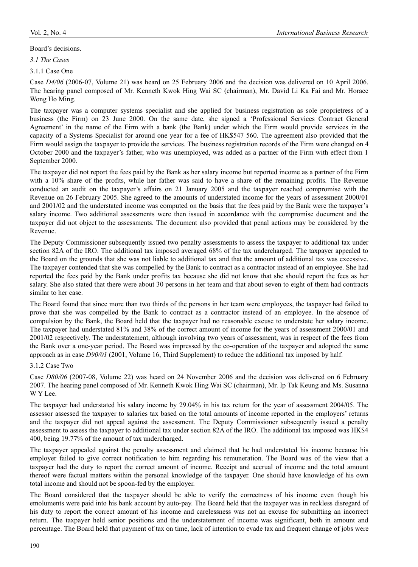#### Board's decisions.

*3.1 The Cases* 

3.1.1 Case One

Case *D4/06* (2006-07, Volume 21) was heard on 25 February 2006 and the decision was delivered on 10 April 2006. The hearing panel composed of Mr. Kenneth Kwok Hing Wai SC (chairman), Mr. David Li Ka Fai and Mr. Horace Wong Ho Ming.

The taxpayer was a computer systems specialist and she applied for business registration as sole proprietress of a business (the Firm) on 23 June 2000. On the same date, she signed a 'Professional Services Contract General Agreement' in the name of the Firm with a bank (the Bank) under which the Firm would provide services in the capacity of a Systems Specialist for around one year for a fee of HK\$547 560. The agreement also provided that the Firm would assign the taxpayer to provide the services. The business registration records of the Firm were changed on 4 October 2000 and the taxpayer's father, who was unemployed, was added as a partner of the Firm with effect from 1 September 2000.

The taxpayer did not report the fees paid by the Bank as her salary income but reported income as a partner of the Firm with a 10% share of the profits, while her father was said to have a share of the remaining profits. The Revenue conducted an audit on the taxpayer's affairs on 21 January 2005 and the taxpayer reached compromise with the Revenue on 26 February 2005. She agreed to the amounts of understated income for the years of assessment 2000/01 and 2001/02 and the understated income was computed on the basis that the fees paid by the Bank were the taxpayer's salary income. Two additional assessments were then issued in accordance with the compromise document and the taxpayer did not object to the assessments. The document also provided that penal actions may be considered by the Revenue.

The Deputy Commissioner subsequently issued two penalty assessments to assess the taxpayer to additional tax under section 82A of the IRO. The additional tax imposed averaged 68% of the tax undercharged. The taxpayer appealed to the Board on the grounds that she was not liable to additional tax and that the amount of additional tax was excessive. The taxpayer contended that she was compelled by the Bank to contract as a contractor instead of an employee. She had reported the fees paid by the Bank under profits tax because she did not know that she should report the fees as her salary. She also stated that there were about 30 persons in her team and that about seven to eight of them had contracts similar to her case.

The Board found that since more than two thirds of the persons in her team were employees, the taxpayer had failed to prove that she was compelled by the Bank to contract as a contractor instead of an employee. In the absence of compulsion by the Bank, the Board held that the taxpayer had no reasonable excuse to understate her salary income. The taxpayer had understated 81% and 38% of the correct amount of income for the years of assessment 2000/01 and 2001/02 respectively. The understatement, although involving two years of assessment, was in respect of the fees from the Bank over a one-year period. The Board was impressed by the co-operation of the taxpayer and adopted the same approach as in case *D90/01* (2001, Volume 16, Third Supplement) to reduce the additional tax imposed by half.

#### 3.1.2 Case Two

Case *D80/06* (2007-08, Volume 22) was heard on 24 November 2006 and the decision was delivered on 6 February 2007. The hearing panel composed of Mr. Kenneth Kwok Hing Wai SC (chairman), Mr. Ip Tak Keung and Ms. Susanna W Y Lee.

The taxpayer had understated his salary income by 29.04% in his tax return for the year of assessment 2004/05. The assessor assessed the taxpayer to salaries tax based on the total amounts of income reported in the employers' returns and the taxpayer did not appeal against the assessment. The Deputy Commissioner subsequently issued a penalty assessment to assess the taxpayer to additional tax under section 82A of the IRO. The additional tax imposed was HK\$4 400, being 19.77% of the amount of tax undercharged.

The taxpayer appealed against the penalty assessment and claimed that he had understated his income because his employer failed to give correct notification to him regarding his remuneration. The Board was of the view that a taxpayer had the duty to report the correct amount of income. Receipt and accrual of income and the total amount thereof were factual matters within the personal knowledge of the taxpayer. One should have knowledge of his own total income and should not be spoon-fed by the employer.

The Board considered that the taxpayer should be able to verify the correctness of his income even though his emoluments were paid into his bank account by auto-pay. The Board held that the taxpayer was in reckless disregard of his duty to report the correct amount of his income and carelessness was not an excuse for submitting an incorrect return. The taxpayer held senior positions and the understatement of income was significant, both in amount and percentage. The Board held that payment of tax on time, lack of intention to evade tax and frequent change of jobs were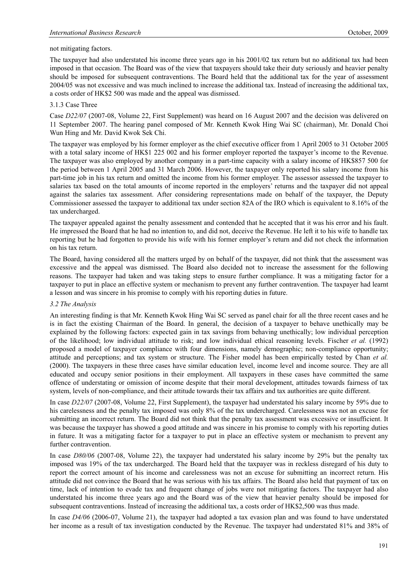## not mitigating factors.

The taxpayer had also understated his income three years ago in his 2001/02 tax return but no additional tax had been imposed in that occasion. The Board was of the view that taxpayers should take their duty seriously and heavier penalty should be imposed for subsequent contraventions. The Board held that the additional tax for the year of assessment 2004/05 was not excessive and was much inclined to increase the additional tax. Instead of increasing the additional tax, a costs order of HK\$2 500 was made and the appeal was dismissed.

# 3.1.3 Case Three

Case *D22/07* (2007-08, Volume 22, First Supplement) was heard on 16 August 2007 and the decision was delivered on 11 September 2007. The hearing panel composed of Mr. Kenneth Kwok Hing Wai SC (chairman), Mr. Donald Choi Wun Hing and Mr. David Kwok Sek Chi.

The taxpayer was employed by his former employer as the chief executive officer from 1 April 2005 to 31 October 2005 with a total salary income of HK\$1 225 002 and his former employer reported the taxpayer's income to the Revenue. The taxpayer was also employed by another company in a part-time capacity with a salary income of HK\$857 500 for the period between 1 April 2005 and 31 March 2006. However, the taxpayer only reported his salary income from his part-time job in his tax return and omitted the income from his former employer. The assessor assessed the taxpayer to salaries tax based on the total amounts of income reported in the employers' returns and the taxpayer did not appeal against the salaries tax assessment. After considering representations made on behalf of the taxpayer, the Deputy Commissioner assessed the taxpayer to additional tax under section 82A of the IRO which is equivalent to 8.16% of the tax undercharged.

The taxpayer appealed against the penalty assessment and contended that he accepted that it was his error and his fault. He impressed the Board that he had no intention to, and did not, deceive the Revenue. He left it to his wife to handle tax reporting but he had forgotten to provide his wife with his former employer's return and did not check the information on his tax return.

The Board, having considered all the matters urged by on behalf of the taxpayer, did not think that the assessment was excessive and the appeal was dismissed. The Board also decided not to increase the assessment for the following reasons. The taxpayer had taken and was taking steps to ensure further compliance. It was a mitigating factor for a taxpayer to put in place an effective system or mechanism to prevent any further contravention. The taxpayer had learnt a lesson and was sincere in his promise to comply with his reporting duties in future.

#### *3.2 The Analysis*

An interesting finding is that Mr. Kenneth Kwok Hing Wai SC served as panel chair for all the three recent cases and he is in fact the existing Chairman of the Board. In general, the decision of a taxpayer to behave unethically may be explained by the following factors: expected gain in tax savings from behaving unethically; low individual perception of the likelihood; low individual attitude to risk; and low individual ethical reasoning levels. Fischer *et al.* (1992) proposed a model of taxpayer compliance with four dimensions, namely demographic; non-compliance opportunity; attitude and perceptions; and tax system or structure. The Fisher model has been empirically tested by Chan *et al.* (2000). The taxpayers in these three cases have similar education level, income level and income source. They are all educated and occupy senior positions in their employment. All taxpayers in these cases have committed the same offence of understating or omission of income despite that their moral development, attitudes towards fairness of tax system, levels of non-compliance, and their attitude towards their tax affairs and tax authorities are quite different.

In case *D22/07* (2007-08, Volume 22, First Supplement), the taxpayer had understated his salary income by 59% due to his carelessness and the penalty tax imposed was only 8% of the tax undercharged. Carelessness was not an excuse for submitting an incorrect return. The Board did not think that the penalty tax assessment was excessive or insufficient. It was because the taxpayer has showed a good attitude and was sincere in his promise to comply with his reporting duties in future. It was a mitigating factor for a taxpayer to put in place an effective system or mechanism to prevent any further contravention.

In case *D80/06* (2007-08, Volume 22), the taxpayer had understated his salary income by 29% but the penalty tax imposed was 19% of the tax undercharged. The Board held that the taxpayer was in reckless disregard of his duty to report the correct amount of his income and carelessness was not an excuse for submitting an incorrect return. His attitude did not convince the Board that he was serious with his tax affairs. The Board also held that payment of tax on time, lack of intention to evade tax and frequent change of jobs were not mitigating factors. The taxpayer had also understated his income three years ago and the Board was of the view that heavier penalty should be imposed for subsequent contraventions. Instead of increasing the additional tax, a costs order of HK\$2,500 was thus made.

In case *D4/06* (2006-07, Volume 21), the taxpayer had adopted a tax evasion plan and was found to have understated her income as a result of tax investigation conducted by the Revenue. The taxpayer had understated 81% and 38% of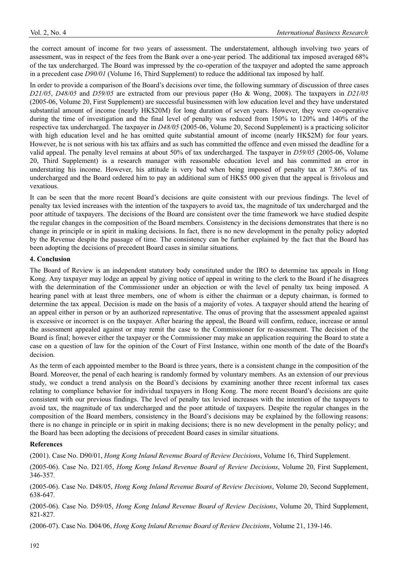the correct amount of income for two years of assessment. The understatement, although involving two years of assessment, was in respect of the fees from the Bank over a one-year period. The additional tax imposed averaged 68% of the tax undercharged. The Board was impressed by the co-operation of the taxpayer and adopted the same approach in a precedent case *D90/01* (Volume 16, Third Supplement) to reduce the additional tax imposed by half.

In order to provide a comparison of the Board's decisions over time, the following summary of discussion of three cases *D21/05*, *D48/05* and *D59/05* are extracted from our previous paper (Ho & Wong, 2008). The taxpayers in *D21/05*  (2005-06, Volume 20, First Supplement) are successful businessmen with low education level and they have understated substantial amount of income (nearly HK\$20M) for long duration of seven years. However, they were co-operative during the time of investigation and the final level of penalty was reduced from 150% to 120% and 140% of the respective tax undercharged. The taxpayer in *D48/05* (2005-06, Volume 20, Second Supplement) is a practicing solicitor with high education level and he has omitted quite substantial amount of income (nearly HK\$2M) for four years. However, he is not serious with his tax affairs and as such has committed the offence and even missed the deadline for a valid appeal. The penalty level remains at about 50% of tax undercharged. The taxpayer in *D59/05* (2005-06, Volume 20, Third Supplement) is a research manager with reasonable education level and has committed an error in understating his income. However, his attitude is very bad when being imposed of penalty tax at 7.86% of tax undercharged and the Board ordered him to pay an additional sum of HK\$5 000 given that the appeal is frivolous and vexatious.

It can be seen that the more recent Board's decisions are quite consistent with our previous findings. The level of penalty tax levied increases with the intention of the taxpayers to avoid tax, the magnitude of tax undercharged and the poor attitude of taxpayers. The decisions of the Board are consistent over the time framework we have studied despite the regular changes in the composition of the Board members. Consistency in the decisions demonstrates that there is no change in principle or in spirit in making decisions. In fact, there is no new development in the penalty policy adopted by the Revenue despite the passage of time. The consistency can be further explained by the fact that the Board has been adopting the decisions of precedent Board cases in similar situations.

# **4. Conclusion**

The Board of Review is an independent statutory body constituted under the IRO to determine tax appeals in Hong Kong. Any taxpayer may lodge an appeal by giving notice of appeal in writing to the clerk to the Board if he disagrees with the determination of the Commissioner under an objection or with the level of penalty tax being imposed. A hearing panel with at least three members, one of whom is either the chairman or a deputy chairman, is formed to determine the tax appeal. Decision is made on the basis of a majority of votes. A taxpayer should attend the hearing of an appeal either in person or by an authorized representative. The onus of proving that the assessment appealed against is excessive or incorrect is on the taxpayer. After hearing the appeal, the Board will confirm, reduce, increase or annul the assessment appealed against or may remit the case to the Commissioner for re-assessment. The decision of the Board is final; however either the taxpayer or the Commissioner may make an application requiring the Board to state a case on a question of law for the opinion of the Court of First Instance, within one month of the date of the Board's decision.

As the term of each appointed member to the Board is three years, there is a consistent change in the composition of the Board. Moreover, the penal of each hearing is randomly formed by voluntary members. As an extension of our previous study, we conduct a trend analysis on the Board's decisions by examining another three recent informal tax cases relating to compliance behavior for individual taxpayers in Hong Kong. The more recent Board's decisions are quite consistent with our previous findings. The level of penalty tax levied increases with the intention of the taxpayers to avoid tax, the magnitude of tax undercharged and the poor attitude of taxpayers. Despite the regular changes in the composition of the Board members, consistency in the Board's decisions may be explained by the following reasons: there is no change in principle or in spirit in making decisions; there is no new development in the penalty policy; and the Board has been adopting the decisions of precedent Board cases in similar situations.

# **References**

(2001). Case No. D90/01, *Hong Kong Inland Revenue Board of Review Decisions*, Volume 16, Third Supplement.

(2005-06). Case No. D21/05, *Hong Kong Inland Revenue Board of Review Decisions*, Volume 20, First Supplement, 346-357.

(2005-06). Case No. D48/05, *Hong Kong Inland Revenue Board of Review Decisions*, Volume 20, Second Supplement, 638-647.

(2005-06). Case No. D59/05, *Hong Kong Inland Revenue Board of Review Decisions*, Volume 20, Third Supplement, 821-827.

(2006-07). Case No. D04/06, *Hong Kong Inland Revenue Board of Review Decisions*, Volume 21, 139-146.